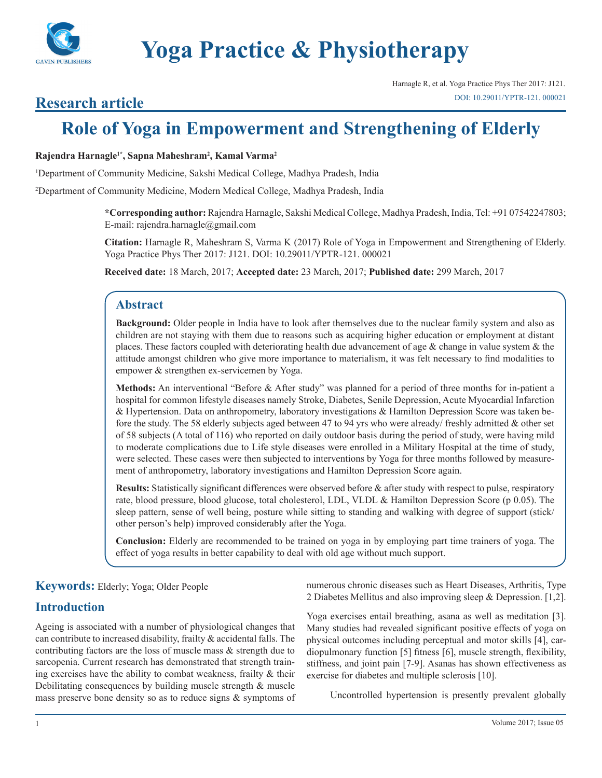

Harnagle R, et al. Yoga Practice Phys Ther 2017: J121. [DOI: 10.29011/YPTR-121. 000021](http://doi.org/10.29011/YPTR-121. 000021)

## **Research article**

# **Role of Yoga in Empowerment and Strengthening of Elderly**

#### **Rajendra Harnagle1\*, Sapna Maheshram2 , Kamal Varma2**

1 Department of Community Medicine, Sakshi Medical College, Madhya Pradesh, India

2 Department of Community Medicine, Modern Medical College, Madhya Pradesh, India

**\*Corresponding author:** Rajendra Harnagle, Sakshi Medical College, Madhya Pradesh, India, Tel: +91 07542247803; E-mail: rajendra.harnagle@gmail.com

**Citation:** Harnagle R, Maheshram S, Varma K (2017) Role of Yoga in Empowerment and Strengthening of Elderly. Yoga Practice Phys Ther 2017: J121. DOI: 10.29011/YPTR-121. 000021

**Received date:** 18 March, 2017; **Accepted date:** 23 March, 2017; **Published date:** 299 March, 2017

## **Abstract**

**Background:** Older people in India have to look after themselves due to the nuclear family system and also as children are not staying with them due to reasons such as acquiring higher education or employment at distant places. These factors coupled with deteriorating health due advancement of age & change in value system & the attitude amongst children who give more importance to materialism, it was felt necessary to find modalities to empower & strengthen ex-servicemen by Yoga.

**Methods:** An interventional "Before & After study" was planned for a period of three months for in-patient a hospital for common lifestyle diseases namely Stroke, Diabetes, Senile Depression, Acute Myocardial Infarction & Hypertension. Data on anthropometry, laboratory investigations & Hamilton Depression Score was taken before the study. The 58 elderly subjects aged between 47 to 94 yrs who were already/ freshly admitted & other set of 58 subjects (A total of 116) who reported on daily outdoor basis during the period of study, were having mild to moderate complications due to Life style diseases were enrolled in a Military Hospital at the time of study, were selected. These cases were then subjected to interventions by Yoga for three months followed by measurement of anthropometry, laboratory investigations and Hamilton Depression Score again.

**Results:** Statistically significant differences were observed before & after study with respect to pulse, respiratory rate, blood pressure, blood glucose, total cholesterol, LDL, VLDL & Hamilton Depression Score (p 0.05). The sleep pattern, sense of well being, posture while sitting to standing and walking with degree of support (stick/ other person's help) improved considerably after the Yoga.

**Conclusion:** Elderly are recommended to be trained on yoga in by employing part time trainers of yoga. The effect of yoga results in better capability to deal with old age without much support.

## **Keywords:** Elderly; Yoga; Older People

## **Introduction**

Ageing is associated with a number of physiological changes that can contribute to increased disability, frailty & accidental falls. The contributing factors are the loss of muscle mass & strength due to sarcopenia. Current research has demonstrated that strength training exercises have the ability to combat weakness, frailty & their Debilitating consequences by building muscle strength & muscle mass preserve bone density so as to reduce signs & symptoms of numerous chronic diseases such as Heart Diseases, Arthritis, Type 2 Diabetes Mellitus and also improving sleep & Depression. [1,2].

Yoga exercises entail breathing, asana as well as meditation [3]. Many studies had revealed significant positive effects of yoga on physical outcomes including perceptual and motor skills [4], cardiopulmonary function [5] fitness [6], muscle strength, flexibility, stiffness, and joint pain [7-9]. Asanas has shown effectiveness as exercise for diabetes and multiple sclerosis [10].

Uncontrolled hypertension is presently prevalent globally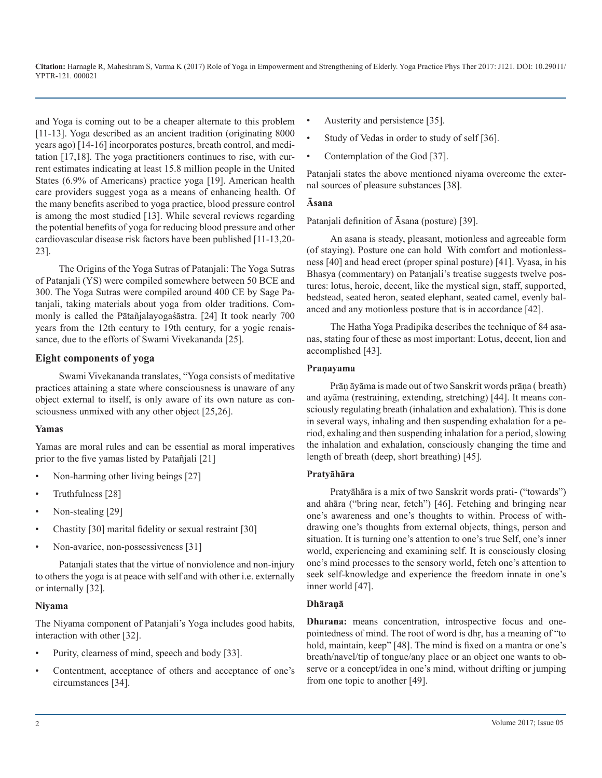and Yoga is coming out to be a cheaper alternate to this problem [11-13]. Yoga described as an ancient tradition (originating 8000 years ago) [14-16] incorporates postures, breath control, and meditation [17,18]. The yoga practitioners continues to rise, with current estimates indicating at least 15.8 million people in the United States (6.9% of Americans) practice yoga [19]. American health care providers suggest yoga as a means of enhancing health. Of the many benefits ascribed to yoga practice, blood pressure control is among the most studied [13]. While several reviews regarding the potential benefits of yoga for reducing blood pressure and other cardiovascular disease risk factors have been published [11-13,20- 23].

The Origins of the Yoga Sutras of Patanjali: The Yoga Sutras of Patanjali (YS) were compiled somewhere between 50 BCE and 300. The Yoga Sutras were compiled around 400 CE by Sage Patanjali, taking materials about yoga from older traditions. Commonly is called the Pātañjalayogaśāstra. [24] It took nearly 700 years from the 12th century to 19th century, for a yogic renaissance, due to the efforts of Swami Vivekananda [25].

#### **Eight components of yoga**

Swami Vivekananda translates, "Yoga consists of meditative practices attaining a state where consciousness is unaware of any object external to itself, is only aware of its own nature as consciousness unmixed with any other object [25,26].

#### **Yamas**

Yamas are moral rules and can be essential as moral imperatives prior to the five yamas listed by Patañjali [21]

- Non-harming other living beings [27]
- Truthfulness [28]
- Non-stealing [29]
- Chastity [30] marital fidelity or sexual restraint [30]
- Non-avarice, non-possessiveness [31]

Patanjali states that the virtue of nonviolence and non-injury to others the yoga is at peace with self and with other i.e. externally or internally [32].

#### **Niyama**

The Niyama component of Patanjali's Yoga includes good habits, interaction with other [32].

- Purity, clearness of mind, speech and body [33].
- Contentment, acceptance of others and acceptance of one's circumstances [34].
- Austerity and persistence [35].
- Study of Vedas in order to study of self [36].
- Contemplation of the God [37].

Patanjali states the above mentioned niyama overcome the external sources of pleasure substances [38].

#### **Āsana**

Patanjali definition of Āsana (posture) [39].

An asana is steady, pleasant, motionless and agreeable form (of staying). Posture one can hold With comfort and motionlessness [40] and head erect (proper spinal posture) [41]. Vyasa, in his Bhasya (commentary) on Patanjali's treatise suggests twelve postures: lotus, heroic, decent, like the mystical sign, staff, supported, bedstead, seated heron, seated elephant, seated camel, evenly balanced and any motionless posture that is in accordance [42].

The Hatha Yoga Pradipika describes the technique of 84 asanas, stating four of these as most important: Lotus, decent, lion and accomplished [43].

#### **Praṇayama**

Prāṇ āyāma is made out of two Sanskrit words prāṇa ( breath) and ayāma (restraining, extending, stretching) [44]. It means consciously regulating breath (inhalation and exhalation). This is done in several ways, inhaling and then suspending exhalation for a period, exhaling and then suspending inhalation for a period, slowing the inhalation and exhalation, consciously changing the time and length of breath (deep, short breathing) [45].

#### **Pratyāhāra**

Pratyāhāra is a mix of two Sanskrit words prati- ("towards") and ahāra ("bring near, fetch") [46]. Fetching and bringing near one's awareness and one's thoughts to within. Process of withdrawing one's thoughts from external objects, things, person and situation. It is turning one's attention to one's true Self, one's inner world, experiencing and examining self. It is consciously closing one's mind processes to the sensory world, fetch one's attention to seek self-knowledge and experience the freedom innate in one's inner world [47].

#### **Dhāraṇā**

**Dharana:** means concentration, introspective focus and onepointedness of mind. The root of word is dhṛ, has a meaning of "to hold, maintain, keep" [48]. The mind is fixed on a mantra or one's breath/navel/tip of tongue/any place or an object one wants to observe or a concept/idea in one's mind, without drifting or jumping from one topic to another [49].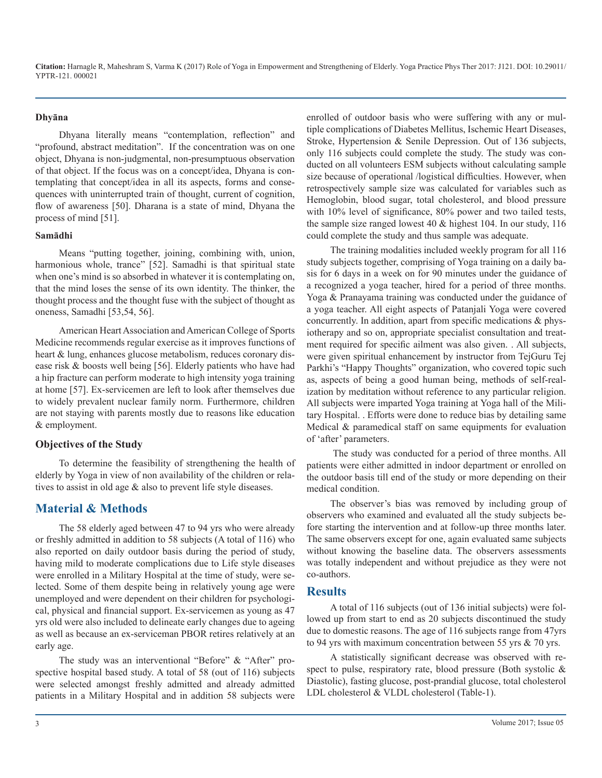#### **Dhyāna**

Dhyana literally means "contemplation, reflection" and "profound, abstract meditation". If the concentration was on one object, Dhyana is non-judgmental, non-presumptuous observation of that object. If the focus was on a concept/idea, Dhyana is contemplating that concept/idea in all its aspects, forms and consequences with uninterrupted train of thought, current of cognition, flow of awareness [50]. Dharana is a state of mind, Dhyana the process of mind [51].

#### **Samādhi**

Means "putting together, joining, combining with, union, harmonious whole, trance" [52]. Samadhi is that spiritual state when one's mind is so absorbed in whatever it is contemplating on, that the mind loses the sense of its own identity. The thinker, the thought process and the thought fuse with the subject of thought as oneness, Samadhi [53,54, 56].

American Heart Association and American College of Sports Medicine recommends regular exercise as it improves functions of heart & lung, enhances glucose metabolism, reduces coronary disease risk & boosts well being [56]. Elderly patients who have had a hip fracture can perform moderate to high intensity yoga training at home [57]. Ex-servicemen are left to look after themselves due to widely prevalent nuclear family norm. Furthermore, children are not staying with parents mostly due to reasons like education & employment.

#### **Objectives of the Study**

To determine the feasibility of strengthening the health of elderly by Yoga in view of non availability of the children or relatives to assist in old age & also to prevent life style diseases.

## **Material & Methods**

The 58 elderly aged between 47 to 94 yrs who were already or freshly admitted in addition to 58 subjects (A total of 116) who also reported on daily outdoor basis during the period of study, having mild to moderate complications due to Life style diseases were enrolled in a Military Hospital at the time of study, were selected. Some of them despite being in relatively young age were unemployed and were dependent on their children for psychological, physical and financial support. Ex-servicemen as young as 47 yrs old were also included to delineate early changes due to ageing as well as because an ex-serviceman PBOR retires relatively at an early age.

The study was an interventional "Before" & "After" prospective hospital based study. A total of 58 (out of 116) subjects were selected amongst freshly admitted and already admitted patients in a Military Hospital and in addition 58 subjects were enrolled of outdoor basis who were suffering with any or multiple complications of Diabetes Mellitus, Ischemic Heart Diseases, Stroke, Hypertension & Senile Depression. Out of 136 subjects, only 116 subjects could complete the study. The study was conducted on all volunteers ESM subjects without calculating sample size because of operational /logistical difficulties. However, when retrospectively sample size was calculated for variables such as Hemoglobin, blood sugar, total cholesterol, and blood pressure with 10% level of significance, 80% power and two tailed tests, the sample size ranged lowest 40 & highest 104. In our study, 116 could complete the study and thus sample was adequate.

The training modalities included weekly program for all 116 study subjects together, comprising of Yoga training on a daily basis for 6 days in a week on for 90 minutes under the guidance of a recognized a yoga teacher, hired for a period of three months. Yoga & Pranayama training was conducted under the guidance of a yoga teacher. All eight aspects of Patanjali Yoga were covered concurrently. In addition, apart from specific medications & physiotherapy and so on, appropriate specialist consultation and treatment required for specific ailment was also given. . All subjects, were given spiritual enhancement by instructor from TejGuru Tej Parkhi's "Happy Thoughts" organization, who covered topic such as, aspects of being a good human being, methods of self-realization by meditation without reference to any particular religion. All subjects were imparted Yoga training at Yoga hall of the Military Hospital. . Efforts were done to reduce bias by detailing same Medical & paramedical staff on same equipments for evaluation of 'after' parameters.

 The study was conducted for a period of three months. All patients were either admitted in indoor department or enrolled on the outdoor basis till end of the study or more depending on their medical condition.

The observer's bias was removed by including group of observers who examined and evaluated all the study subjects before starting the intervention and at follow-up three months later. The same observers except for one, again evaluated same subjects without knowing the baseline data. The observers assessments was totally independent and without prejudice as they were not co-authors.

#### **Results**

A total of 116 subjects (out of 136 initial subjects) were followed up from start to end as 20 subjects discontinued the study due to domestic reasons. The age of 116 subjects range from 47yrs to 94 yrs with maximum concentration between 55 yrs & 70 yrs.

A statistically significant decrease was observed with respect to pulse, respiratory rate, blood pressure (Both systolic & Diastolic), fasting glucose, post-prandial glucose, total cholesterol LDL cholesterol & VLDL cholesterol (Table-1).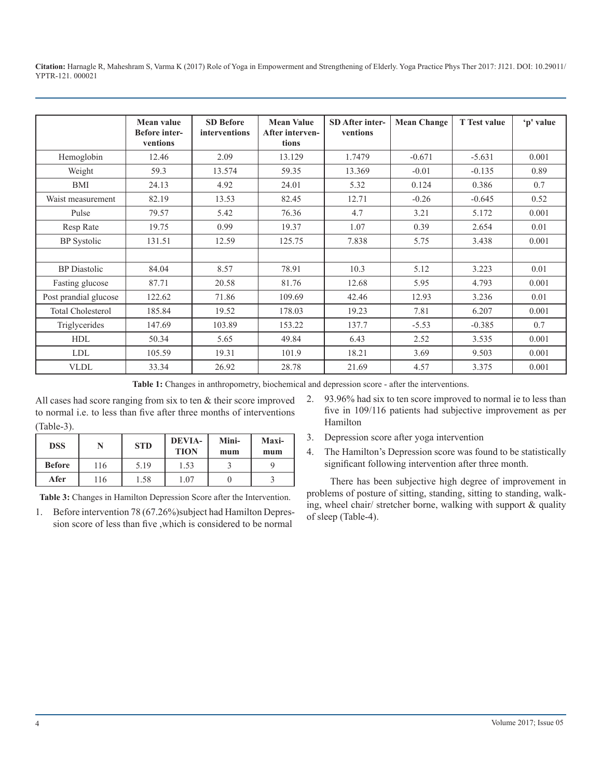|                          | Mean value<br><b>Before</b> inter-<br>ventions | <b>SD Before</b><br>interventions | <b>Mean Value</b><br>After interven-<br>tions | <b>SD</b> After inter-<br>ventions | <b>Mean Change</b> | <b>T</b> Test value | 'p' value |
|--------------------------|------------------------------------------------|-----------------------------------|-----------------------------------------------|------------------------------------|--------------------|---------------------|-----------|
| Hemoglobin               | 12.46                                          | 2.09                              | 13.129                                        | 1.7479                             | $-0.671$           | $-5.631$            | 0.001     |
| Weight                   | 59.3                                           | 13.574                            | 59.35                                         | 13.369                             | $-0.01$            | $-0.135$            | 0.89      |
| <b>BMI</b>               | 24.13                                          | 4.92                              | 24.01                                         | 5.32                               | 0.124              | 0.386               | 0.7       |
| Waist measurement        | 82.19                                          | 13.53                             | 82.45                                         | 12.71                              | $-0.26$            | $-0.645$            | 0.52      |
| Pulse                    | 79.57                                          | 5.42                              | 76.36                                         | 4.7                                | 3.21               | 5.172               | 0.001     |
| Resp Rate                | 19.75                                          | 0.99                              | 19.37                                         | 1.07                               | 0.39               | 2.654               | 0.01      |
| <b>BP</b> Systolic       | 131.51                                         | 12.59                             | 125.75                                        | 7.838                              | 5.75               | 3.438               | 0.001     |
|                          |                                                |                                   |                                               |                                    |                    |                     |           |
| <b>BP</b> Diastolic      | 84.04                                          | 8.57                              | 78.91                                         | 10.3                               | 5.12               | 3.223               | 0.01      |
| Fasting glucose          | 87.71                                          | 20.58                             | 81.76                                         | 12.68                              | 5.95               | 4.793               | 0.001     |
| Post prandial glucose    | 122.62                                         | 71.86                             | 109.69                                        | 42.46                              | 12.93              | 3.236               | 0.01      |
| <b>Total Cholesterol</b> | 185.84                                         | 19.52                             | 178.03                                        | 19.23                              | 7.81               | 6.207               | 0.001     |
| Triglycerides            | 147.69                                         | 103.89                            | 153.22                                        | 137.7                              | $-5.53$            | $-0.385$            | 0.7       |
| <b>HDL</b>               | 50.34                                          | 5.65                              | 49.84                                         | 6.43                               | 2.52               | 3.535               | 0.001     |
| <b>LDL</b>               | 105.59                                         | 19.31                             | 101.9                                         | 18.21                              | 3.69               | 9.503               | 0.001     |
| <b>VLDL</b>              | 33.34                                          | 26.92                             | 28.78                                         | 21.69                              | 4.57               | 3.375               | 0.001     |

**Table 1:** Changes in anthropometry, biochemical and depression score - after the interventions.

All cases had score ranging from six to ten & their score improved to normal i.e. to less than five after three months of interventions (Table-3).

| <b>DSS</b>    |     | <b>STD</b> | <b>DEVIA-</b><br><b>TION</b> | Mini-<br>mum | Maxi-<br>mum |
|---------------|-----|------------|------------------------------|--------------|--------------|
| <b>Before</b> | 116 | 5.19       | 1.53                         |              |              |
| Afer          | 116 | 1.58       | .07                          |              |              |

**Table 3:** Changes in Hamilton Depression Score after the Intervention.

1. Before intervention 78 (67.26%)subject had Hamilton Depression score of less than five ,which is considered to be normal

- 2. 93.96% had six to ten score improved to normal ie to less than five in 109/116 patients had subjective improvement as per Hamilton
- 3. Depression score after yoga intervention
- 4. The Hamilton's Depression score was found to be statistically significant following intervention after three month.

There has been subjective high degree of improvement in problems of posture of sitting, standing, sitting to standing, walking, wheel chair/ stretcher borne, walking with support & quality of sleep (Table-4).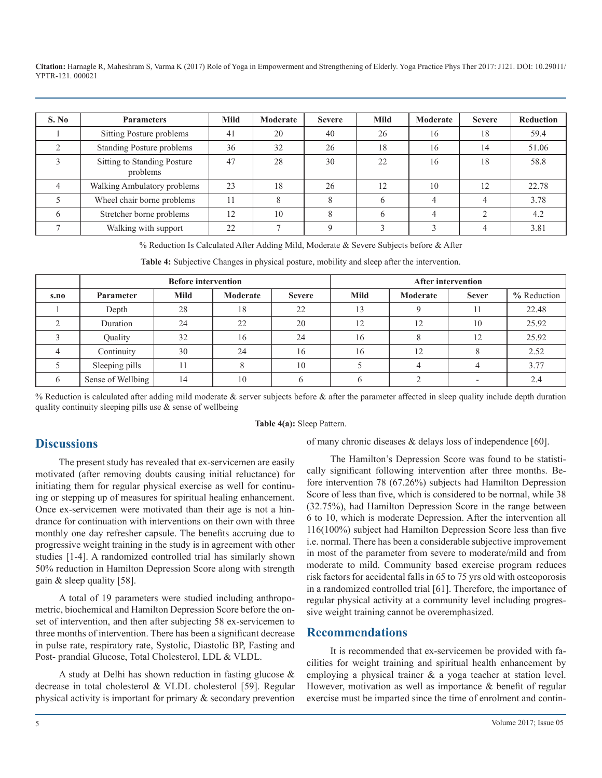| S. No | <b>Parameters</b>                       | <b>Mild</b> | Moderate | <b>Severe</b> | <b>Mild</b> | Moderate | <b>Severe</b> | <b>Reduction</b> |
|-------|-----------------------------------------|-------------|----------|---------------|-------------|----------|---------------|------------------|
|       | Sitting Posture problems                | 41          | 20       | 40            | 26          | 16       | 18            | 59.4             |
|       | Standing Posture problems               | 36          | 32       | 26            | 18          | 16       | 14            | 51.06            |
|       | Sitting to Standing Posture<br>problems | 47          | 28       | 30            | 22          | 16       | 18            | 58.8             |
|       | Walking Ambulatory problems             | 23          | 18       | 26            | 12          | 10       | 12            | 22.78            |
|       | Wheel chair borne problems              | 11          | 8        |               |             |          |               | 3.78             |
|       | Stretcher borne problems                | 12          | 10       |               |             |          |               | 4.2              |
|       | Walking with support                    | 22          |          |               |             |          |               | 3.81             |

% Reduction Is Calculated After Adding Mild, Moderate & Severe Subjects before & After

**Table 4:** Subjective Changes in physical posture, mobility and sleep after the intervention.

|      | <b>Before intervention</b> |             |          |               | <b>After intervention</b> |          |              |             |
|------|----------------------------|-------------|----------|---------------|---------------------------|----------|--------------|-------------|
| s.no | <b>Parameter</b>           | <b>Mild</b> | Moderate | <b>Severe</b> | Mild                      | Moderate | <b>Sever</b> | % Reduction |
|      | Depth                      | 28          | 18       | 22            |                           |          |              | 22.48       |
|      | Duration                   | 24          | 22       | 20            | 12                        | 12       | 10           | 25.92       |
|      | Quality                    | 32          | 16       | 24            | 16                        |          | 12           | 25.92       |
|      | Continuity                 | 30          | 24       | 16            | 16                        | 12       |              | 2.52        |
|      | Sleeping pills             |             |          | 10            |                           |          |              | 3.77        |
|      | Sense of Wellbing          | 14          | 10       |               |                           |          |              | 2.4         |

% Reduction is calculated after adding mild moderate & server subjects before  $\&$  after the parameter affected in sleep quality include depth duration quality continuity sleeping pills use  $\&$  sense of wellbeing

#### **Table 4(a):** Sleep Pattern.

## **Discussions**

The present study has revealed that ex-servicemen are easily motivated (after removing doubts causing initial reluctance) for initiating them for regular physical exercise as well for continuing or stepping up of measures for spiritual healing enhancement. Once ex-servicemen were motivated than their age is not a hindrance for continuation with interventions on their own with three monthly one day refresher capsule. The benefits accruing due to progressive weight training in the study is in agreement with other studies [1-4]. A randomized controlled trial has similarly shown 50% reduction in Hamilton Depression Score along with strength gain & sleep quality [58].

A total of 19 parameters were studied including anthropometric, biochemical and Hamilton Depression Score before the onset of intervention, and then after subjecting 58 ex-servicemen to three months of intervention. There has been a significant decrease in pulse rate, respiratory rate, Systolic, Diastolic BP, Fasting and Post- prandial Glucose, Total Cholesterol, LDL & VLDL.

A study at Delhi has shown reduction in fasting glucose & decrease in total cholesterol & VLDL cholesterol [59]. Regular physical activity is important for primary & secondary prevention of many chronic diseases & delays loss of independence [60].

The Hamilton's Depression Score was found to be statistically significant following intervention after three months. Before intervention 78 (67.26%) subjects had Hamilton Depression Score of less than five, which is considered to be normal, while 38 (32.75%), had Hamilton Depression Score in the range between 6 to 10, which is moderate Depression. After the intervention all 116(100%) subject had Hamilton Depression Score less than five i.e. normal. There has been a considerable subjective improvement in most of the parameter from severe to moderate/mild and from moderate to mild. Community based exercise program reduces risk factors for accidental falls in 65 to 75 yrs old with osteoporosis in a randomized controlled trial [61]. Therefore, the importance of regular physical activity at a community level including progressive weight training cannot be overemphasized.

### **Recommendations**

It is recommended that ex-servicemen be provided with facilities for weight training and spiritual health enhancement by employing a physical trainer & a yoga teacher at station level. However, motivation as well as importance & benefit of regular exercise must be imparted since the time of enrolment and contin-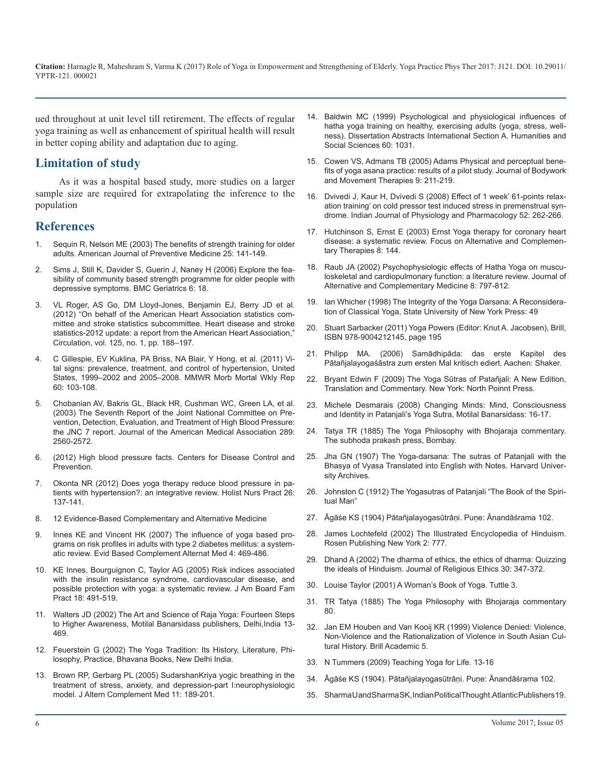ued throughout at unit level till retirement. The effects of regular yoga training as well as enhancement of spiritual health will result in better coping ability and adaptation due to aging.

## **Limitation of study**

As it was a hospital based study, more studies on a larger sample size are required for extrapolating the inference to the population

## **References**

- 1. [Sequin R, Nelson ME \(2003\) The benefits of strength training for older](https://www.ncbi.nlm.nih.gov/pubmed/14552938)  adults. American Journal of Preventive Medicine 25: 141-149.
- 2. [Sims J, Still K, Davider S, Guerin J, Naney H \(2006\) Explore the fea](https://www.ncbi.nlm.nih.gov/pmc/articles/PMC1698486/)sibility of community based strength programme for older people with [depressive symptoms. BMC Geriatrics 6: 18.](https://www.ncbi.nlm.nih.gov/pmc/articles/PMC1698486/)
- 3. VL Roger, AS Go, DM Lloyd-Jones, Benjamin EJ, Berry JD et al. (2012) "On behalf of the American Heart Association statistics committee and stroke statistics subcommittee. Heart disease and stroke statistics-2012 update: a report from the American Heart Association," Circulation, vol. 125, no. 1, pp. 188–197.
- 4. [C Gillespie, EV Kuklina, PA Briss, NA Blair, Y Hong, et al. \(2011\) Vi](https://www.ncbi.nlm.nih.gov/pubmed/21293325)tal signs: prevalence, treatment, and control of hypertension, United [States, 1999–2002 and 2005–2008. MMWR Morb Mortal Wkly Rep](https://www.ncbi.nlm.nih.gov/pubmed/21293325)  [60: 103-108.](https://www.ncbi.nlm.nih.gov/pubmed/21293325)
- 5. [Chobanian AV, Bakris GL, Black HR, Cushman WC, Green LA, et al.](https://www.ncbi.nlm.nih.gov/pubmed/12748199)  (2003) The Seventh Report of the Joint National Committee on Pre[vention, Detection, Evaluation, and Treatment of High Blood Pressure:](https://www.ncbi.nlm.nih.gov/pubmed/12748199)  [the JNC 7 report. Journal of the American Medical Association 289:](https://www.ncbi.nlm.nih.gov/pubmed/12748199)  [2560-2572.](https://www.ncbi.nlm.nih.gov/pubmed/12748199)
- 6. (2012) High blood pressure facts. Centers for Disease Control and Prevention.
- 7. [Okonta NR \(2012\) Does yoga therapy reduce blood pressure in pa](https://www.ncbi.nlm.nih.gov/pubmed/22517349)tients with hypertension?: an integrative review. Holist Nurs Pract 26: [137-141.](https://www.ncbi.nlm.nih.gov/pubmed/22517349)
- 8. 12 Evidence-Based Complementary and Alternative Medicine
- 9. [Innes KE and Vincent HK \(2007\) The influence of yoga based pro](https://www.ncbi.nlm.nih.gov/pmc/articles/PMC2176136/)grams on risk profiles in adults with type 2 diabetes mellitus: a system[atic review. Evid Based Complement Alternat Med 4: 469-486.](https://www.ncbi.nlm.nih.gov/pmc/articles/PMC2176136/)
- 10. [KE Innes, Bourguignon C, Taylor AG \(2005\) Risk indices associated](https://www.ncbi.nlm.nih.gov/pubmed/16322413)  with the insulin resistance syndrome, cardiovascular disease, and [possible protection with yoga: a systematic review. J Am Board Fam](https://www.ncbi.nlm.nih.gov/pubmed/16322413)  [Pract 18: 491-519.](https://www.ncbi.nlm.nih.gov/pubmed/16322413)
- 11. [Walters JD \(2002\) The Art and Science of Raja Yoga: Fourteen Steps](https://books.google.co.in/books?id=YLXz6mOYyJ4C&pg=PP1&lpg=PP1&dq=The+Art+and+Science+of+Raja+Yoga:+Fourteen+Steps+to+Higher+Awareness&source=bl&ots=-LrrzK3xiD&sig=mNzOyGz-ftanCeG2Kos0SkLVI7M&hl=en&sa=X&ved=0ahUKEwiv2L3xvPHSAhXMpI8KHYMjC8IQ6AEIQDAI#v=onep)  to Higher Awareness, Motilal Banarsidass publishers, Delhi,India 13- [469.](https://books.google.co.in/books?id=YLXz6mOYyJ4C&pg=PP1&lpg=PP1&dq=The+Art+and+Science+of+Raja+Yoga:+Fourteen+Steps+to+Higher+Awareness&source=bl&ots=-LrrzK3xiD&sig=mNzOyGz-ftanCeG2Kos0SkLVI7M&hl=en&sa=X&ved=0ahUKEwiv2L3xvPHSAhXMpI8KHYMjC8IQ6AEIQDAI#v=onep)
- 12. [Feuerstein G \(2002\) The Yoga Tradition: Its History, Literature, Phi](http://www.barnesandnoble.com/w/the-yoga-tradition-georg-feuerstein/1110931420)losophy, Practice, Bhavana Books, New Delhi India.
- 13. [Brown RP, Gerbarg PL \(2005\) SudarshanKriya yogic breathing in the](https://www.ncbi.nlm.nih.gov/pubmed/15750381)  treatment of stress, anxiety, and depression-part I:neurophysiologic [model. J Altern Complement Med 11: 189-201.](https://www.ncbi.nlm.nih.gov/pubmed/15750381)
- 14. [Baldwin MC \(1999\) Psychological and physiological influences of](https://www.qigonginstitute.org/abstract/5480/psychological-and-physiological-influences-of-hatha-yoga-training-on-healthy-exercising-adults-yoga-stress-wellness)  hatha yoga training on healthy, exercising adults (yoga, stress, well[ness\). Dissertation Abstracts International Section A. Humanities and](https://www.qigonginstitute.org/abstract/5480/psychological-and-physiological-influences-of-hatha-yoga-training-on-healthy-exercising-adults-yoga-stress-wellness)  [Social Sciences 60: 1031.](https://www.qigonginstitute.org/abstract/5480/psychological-and-physiological-influences-of-hatha-yoga-training-on-healthy-exercising-adults-yoga-stress-wellness)
- 15. [Cowen VS, Admans TB \(2005\) Adams Physical and perceptual bene](http://www.bodyworkmovementtherapies.com/article/S1360-8592(04)00061-0/abstract)fits of yoga asana practice: results of a pilot study. Journal of Bodywork [and Movement Therapies 9: 211-219.](http://www.bodyworkmovementtherapies.com/article/S1360-8592(04)00061-0/abstract)
- 16. [Dvivedi J, Kaur H, Dvivedi S \(2008\) Effect of 1 week' 61-points relax](https://www.ncbi.nlm.nih.gov/pubmed/19552057)ation training' on cold pressor test induced stress in premenstrual syn[drome. Indian Journal of Physiology and Pharmacology 52: 262-266.](https://www.ncbi.nlm.nih.gov/pubmed/19552057)
- 17. [Hutchinson S, Ernst E \(2003\) Ernst Yoga therapy for coronary heart](http://onlinelibrary.wiley.com/doi/10.1111/j.2042-7166.2003.tb05801.x/abstract)  disease: a systematic review. Focus on Alternative and Complemen[tary Therapies 8: 144.](http://onlinelibrary.wiley.com/doi/10.1111/j.2042-7166.2003.tb05801.x/abstract)
- 18. [Raub JA \(2002\) Psychophysiologic effects of Hatha Yoga on muscu](https://www.ncbi.nlm.nih.gov/pubmed/12614533)[loskeletal and cardiopulmonary function: a literature review. Journal of](https://www.ncbi.nlm.nih.gov/pmc/articles/PMC1698486/) [Alternative and Complementary Medicine 8: 797-812.](https://www.ncbi.nlm.nih.gov/pubmed/12614533)
- 19. [Ian Whicher \(1998\) The Integrity of the Yoga Darsana: A Reconsidera](https://books.google.co.in/books?id=_Qo9K9hPvQgC&pg=PA428&lpg=PA428&dq=The+Integrity+of+the+Yoga+Darsana:+A+Reconsideration+of+Classical+Yoga&source=bl&ots=YClz2cUI78&sig=mHNacyVix5iysRLn_FS6ZbOtns0&hl=en&sa=X&ved=0ahUKEwi5oOnKwvHSAhXFL48KHeNbBc8Q6AEIQzAI)tion of Classical Yoga, State University of New York Press: 49
- 20. Stuart Sarbacker (2011) Yoga Powers (Editor: Knut A. Jacobsen), Brill, ISBN 978-9004212145, page 195
- 21. Philipp MA. (2006) Samādhipāda: das erste Kapitel des [Pātañjalayogaśāstra zum ersten Mal kritisch ediert. Aachen: Shaker.](https://www.ncbi.nlm.nih.gov/pubmed/21293325)
- 22. [Bryant Edwin F \(2009\) The Yoga Sūtras of Patañjali: A New Edition,](https://books.google.co.in/books/about/The_Yoga_s%C5%ABtras_of_Pata%C3%B1jali.html?id=JHYxAQAAIAAJ)  Translation and Commentary. New York: North Poinnt Press[.](https://books.google.co.in/books/about/The_Yoga_s%C5%ABtras_of_Pata%C3%B1jali.html?id=JHYxAQAAIAAJ)
- 23. [Michele Desmarais \(2008\) Changing Minds: Mind, Consciousness](https://books.google.co.in/books?id=EXHF0lkL7MAC&printsec=frontcover&source=gbs_ge_summary_r&cad=0#v=onepage&q&f=false)  [and Identity in Patanjali's Yoga Sutra, Motilal Banarsidass: 16-17](https://www.ncbi.nlm.nih.gov/pubmed/12748199).
- 24. [Tatya TR \(1885\) The Yoga Philosophy with Bhojaraja commentary.](https://archive.org/stream/yogaphilosophyb00tatygoog#page/n6/mode/2up)  The subhoda prakash press, Bombay.
- 25. [Jha GN \(1907\) The Yoga-darsana: The sutras of Patanjali with the](https://archive.org/stream/yogadaranasutra00patagoog#page/n20/mode/2up)  Bhasya of Vyasa Translated into English with Notes. Harvard Univer[sity Archives.](https://archive.org/stream/yogadaranasutra00patagoog#page/n20/mode/2up)
- 26. [Johnston C \(1912\) The Yogasutras of Patanjali "The Book of the Spiri](https://www.ncbi.nlm.nih.gov/pubmed/22517349)tual Man"
- 27. Āgāśe KS (1904) Pātañjalayogasūtrāṇi. Puṇe: Ānandāśrama 102.
- 28. [James Lochtefeld \(2002\) The Illustrated Encyclopedia of Hinduism.](https://archive.org/stream/TheIllustratedEncyclopediaOfHinduism2VolSet/The_Illustrated_Encyclopedia_of_Hinduism_2_Vol_Set#page/n4/mode/1up)  [Rosen Publishing New York 2: 777.](https://www.ncbi.nlm.nih.gov/pmc/articles/PMC2176136/)
- 29. [Dhand A \(2002\) The dharma of ethics, the ethics of dharma: Quizzing](http://onlinelibrary.wiley.com/doi/10.1111/1467-9795.00113/abstract)  the ideals of Hinduism. Journal of Religious Ethics 30: 347-372.
- 30. [Louise Taylor \(2001\) A Woman's Book of Yoga. Tuttle 3.](https://www.ncbi.nlm.nih.gov/pubmed/16322413)
- 31. [TR Tatya \(1885\) The Yoga Philosophy with Bhojaraja commentary](https://archive.org/stream/yogaphilosophyb00tatygoog#page/n130/mode/2up)  80.
- 32. [Jan EM Houben and Van Kooij KR \(1999\) Violence Denied: Violence,](https://www.questia.com/read/120137393/violence-denied-violence-non-violence-and-the-rationalization) Non-Violence and the Rationalization of Violence in South Asian Cul[tural History. Brill Academic 5.](https://www.questia.com/read/120137393/violence-denied-violence-non-violence-and-the-rationalization)
- 33. [N Tummers \(2009\) Teaching Yoga for Life. 13-16](http://www.barnesandnoble.com/w/the-yoga-tradition-georg-feuerstein/1110931420)
- 34. [Āgāśe KS \(1904\). Pātañjalayogasūtrāṇi. Puṇe: Ānandāśrama 102](https://archive.org/stream/patanjaliyoga/yoga_sutras_three_commentaries#page/n113/mode/2up).
- 35. [Sharma U and Sharma SK, Indian Political Thought. Atlantic Publishers 19.](https://books.google.co.in/books?id=BX3wIjJ9mvMC&printsec=frontcover&source=gbs_ge_summary_r&cad=0#v=onepage&q&f=f)